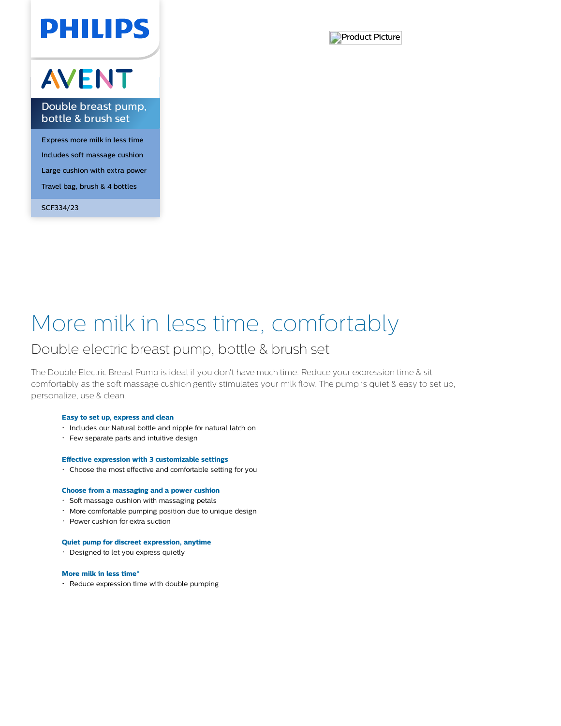## **PHILIPS**

# **AVENT**

### Double breast pump, bottle & brush set

Express more milk in less time Includes soft massage cushion Large cushion with extra power Travel bag, brush & 4 bottles

SCF334/23



### More milk in less time, comfortably

### Double electric breast pump, bottle & brush set

The Double Electric Breast Pump is ideal if you don't have much time. Reduce your expression time & sit comfortably as the soft massage cushion gently stimulates your milk flow. The pump is quiet & easy to set up, personalize, use & clean.

#### **Easy to set up, express and clean**

- Includes our Natural bottle and nipple for natural latch on
- Few separate parts and intuitive design

#### **Effective expression with 3 customizable settings**

Choose the most effective and comfortable setting for you

#### **Choose from a massaging and a power cushion**

- Soft massage cushion with massaging petals
- More comfortable pumping position due to unique design
- Power cushion for extra suction

#### **Quiet pump for discreet expression, anytime**

Designed to let you express quietly

#### **More milk in less time\***

Reduce expression time with double pumping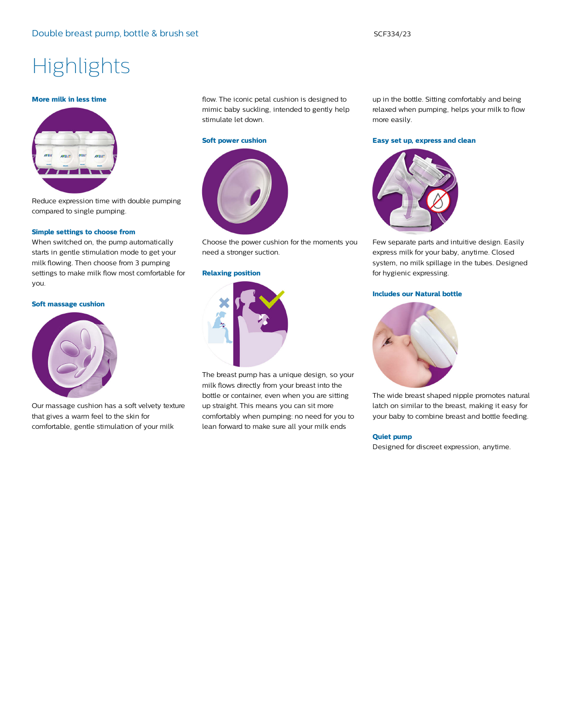### **Highlights**

#### **More milk in less time**



Reduce expression time with double pumping compared to single pumping.

#### **Simple settings to choose from**

When switched on, the pump automatically starts in gentle stimulation mode to get your milk flowing. Then choose from 3 pumping settings to make milk flow most comfortable for you.

#### **Soft massage cushion**



Our massage cushion has a soft velvety texture that gives a warm feel to the skin for comfortable, gentle stimulation of your milk

flow. The iconic petal cushion is designed to mimic baby suckling, intended to gently help stimulate let down.

#### **Soft power cushion**



Choose the power cushion for the moments you need a stronger suction.

#### **Relaxing position**



The breast pump has a unique design, so your milk flows directly from your breast into the bottle or container, even when you are sitting up straight. This means you can sit more comfortably when pumping: no need for you to lean forward to make sure all your milk ends

up in the bottle. Sitting comfortably and being relaxed when pumping, helps your milk to flow more easily.

#### **Easy set up, express and clean**



Few separate parts and intuitive design. Easily express milk for your baby, anytime. Closed system, no milk spillage in the tubes. Designed for hygienic expressing.

#### **Includes our Natural bottle**



The wide breast shaped nipple promotes natural latch on similar to the breast, making it easy for your baby to combine breast and bottle feeding.

#### **Quiet pump**

Designed for discreet expression, anytime.